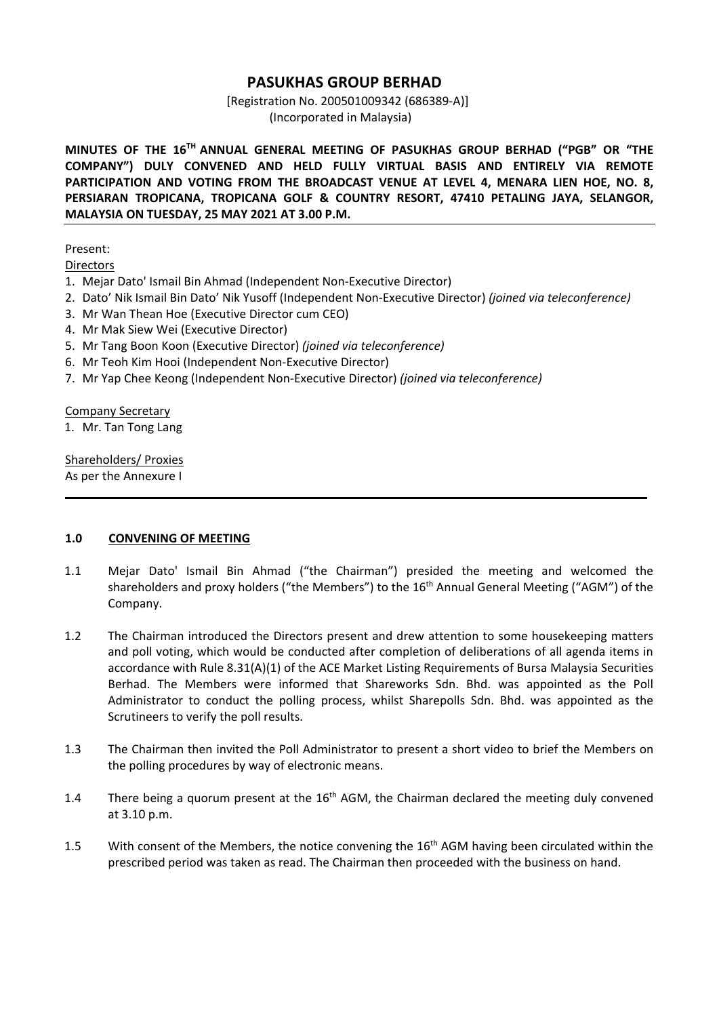### **PASUKHAS GROUP BERHAD**

[Registration No. 200501009342 (686389‐A)] (Incorporated in Malaysia)

**MINUTES OF THE 16TH ANNUAL GENERAL MEETING OF PASUKHAS GROUP BERHAD ("PGB" OR "THE COMPANY") DULY CONVENED AND HELD FULLY VIRTUAL BASIS AND ENTIRELY VIA REMOTE**  PARTICIPATION AND VOTING FROM THE BROADCAST VENUE AT LEVEL 4, MENARA LIEN HOE, NO. 8, **PERSIARAN TROPICANA, TROPICANA GOLF & COUNTRY RESORT, 47410 PETALING JAYA, SELANGOR, MALAYSIA ON TUESDAY, 25 MAY 2021 AT 3.00 P.M.**

### Present:

**Directors** 

- 1. Mejar Dato' Ismail Bin Ahmad (Independent Non‐Executive Director)
- 2. Dato' Nik Ismail Bin Dato' Nik Yusoff (Independent Non‐Executive Director) *(joined via teleconference)*
- 3. Mr Wan Thean Hoe (Executive Director cum CEO)
- 4. Mr Mak Siew Wei (Executive Director)
- 5. Mr Tang Boon Koon (Executive Director) *(joined via teleconference)*
- 6. Mr Teoh Kim Hooi (Independent Non‐Executive Director)
- 7. Mr Yap Chee Keong (Independent Non‐Executive Director) *(joined via teleconference)*

Company Secretary

1. Mr. Tan Tong Lang

Shareholders/ Proxies As per the Annexure I

### **1.0 CONVENING OF MEETING**

1.1 Mejar Dato' Ismail Bin Ahmad ("the Chairman") presided the meeting and welcomed the shareholders and proxy holders ("the Members") to the 16<sup>th</sup> Annual General Meeting ("AGM") of the Company.

\_\_\_\_\_\_\_\_\_\_\_\_\_\_\_\_\_\_\_\_\_\_\_\_\_\_\_\_\_\_\_\_\_\_\_\_\_\_\_\_\_\_\_\_\_\_\_\_\_\_\_\_\_\_\_\_\_\_\_\_\_\_\_\_\_\_\_\_\_\_\_\_\_\_\_\_\_\_\_\_\_\_\_\_\_\_\_\_

- 1.2 The Chairman introduced the Directors present and drew attention to some housekeeping matters and poll voting, which would be conducted after completion of deliberations of all agenda items in accordance with Rule 8.31(A)(1) of the ACE Market Listing Requirements of Bursa Malaysia Securities Berhad. The Members were informed that Shareworks Sdn. Bhd. was appointed as the Poll Administrator to conduct the polling process, whilst Sharepolls Sdn. Bhd. was appointed as the Scrutineers to verify the poll results.
- 1.3 The Chairman then invited the Poll Administrator to present a short video to brief the Members on the polling procedures by way of electronic means.
- 1.4 There being a quorum present at the  $16<sup>th</sup>$  AGM, the Chairman declared the meeting duly convened at 3.10 p.m.
- 1.5 With consent of the Members, the notice convening the 16<sup>th</sup> AGM having been circulated within the prescribed period was taken as read. The Chairman then proceeded with the business on hand.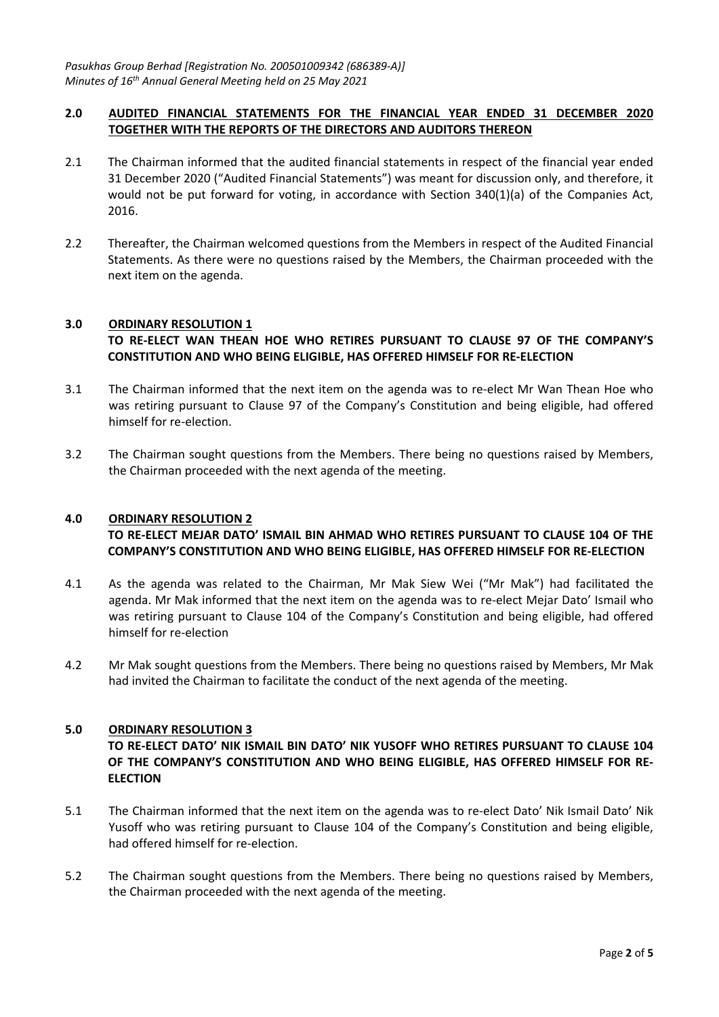### **2.0 AUDITED FINANCIAL STATEMENTS FOR THE FINANCIAL YEAR ENDED 31 DECEMBER 2020 TOGETHER WITH THE REPORTS OF THE DIRECTORS AND AUDITORS THEREON**

- 2.1 The Chairman informed that the audited financial statements in respect of the financial year ended 31 December 2020 ("Audited Financial Statements") was meant for discussion only, and therefore, it would not be put forward for voting, in accordance with Section  $340(1)(a)$  of the Companies Act, 2016.
- 2.2 Thereafter, the Chairman welcomed questions from the Members in respect of the Audited Financial Statements. As there were no questions raised by the Members, the Chairman proceeded with the next item on the agenda.

### **3.0 ORDINARY RESOLUTION 1 TO RE‐ELECT WAN THEAN HOE WHO RETIRES PURSUANT TO CLAUSE 97 OF THE COMPANY'S CONSTITUTION AND WHO BEING ELIGIBLE, HAS OFFERED HIMSELF FOR RE‐ELECTION**

- 3.1 The Chairman informed that the next item on the agenda was to re-elect Mr Wan Thean Hoe who was retiring pursuant to Clause 97 of the Company's Constitution and being eligible, had offered himself for re-election.
- 3.2 The Chairman sought questions from the Members. There being no questions raised by Members, the Chairman proceeded with the next agenda of the meeting.

### **4.0 ORDINARY RESOLUTION 2**

### **TO RE‐ELECT MEJAR DATO' ISMAIL BIN AHMAD WHO RETIRES PURSUANT TO CLAUSE 104 OF THE COMPANY'S CONSTITUTION AND WHO BEING ELIGIBLE, HAS OFFERED HIMSELF FOR RE‐ELECTION**

- 4.1 As the agenda was related to the Chairman, Mr Mak Siew Wei ("Mr Mak") had facilitated the agenda. Mr Mak informed that the next item on the agenda was to re-elect Mejar Dato' Ismail who was retiring pursuant to Clause 104 of the Company's Constitution and being eligible, had offered himself for re‐election
- 4.2 Mr Mak sought questions from the Members. There being no questions raised by Members, Mr Mak had invited the Chairman to facilitate the conduct of the next agenda of the meeting.

### **5.0 ORDINARY RESOLUTION 3**

**TO RE‐ELECT DATO' NIK ISMAIL BIN DATO' NIK YUSOFF WHO RETIRES PURSUANT TO CLAUSE 104 OF THE COMPANY'S CONSTITUTION AND WHO BEING ELIGIBLE, HAS OFFERED HIMSELF FOR RE‐ ELECTION** 

- 5.1 The Chairman informed that the next item on the agenda was to re-elect Dato' Nik Ismail Dato' Nik Yusoff who was retiring pursuant to Clause 104 of the Company's Constitution and being eligible, had offered himself for re-election.
- 5.2 The Chairman sought questions from the Members. There being no questions raised by Members, the Chairman proceeded with the next agenda of the meeting.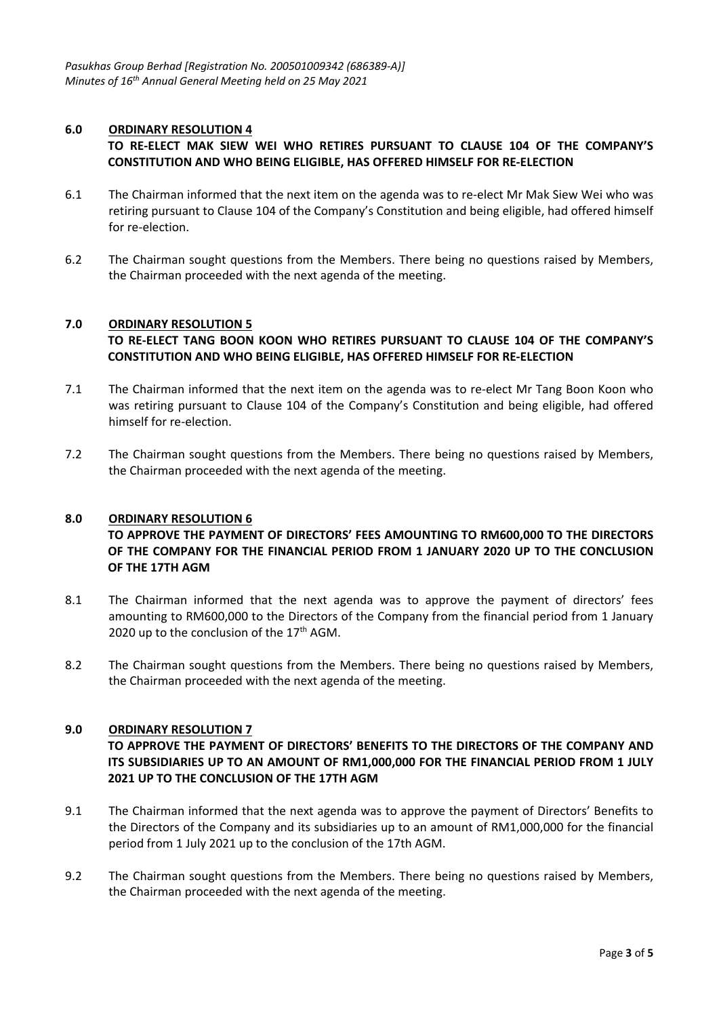### **6.0 ORDINARY RESOLUTION 4**

### **TO RE‐ELECT MAK SIEW WEI WHO RETIRES PURSUANT TO CLAUSE 104 OF THE COMPANY'S CONSTITUTION AND WHO BEING ELIGIBLE, HAS OFFERED HIMSELF FOR RE‐ELECTION**

- 6.1 The Chairman informed that the next item on the agenda was to re-elect Mr Mak Siew Wei who was retiring pursuant to Clause 104 of the Company's Constitution and being eligible, had offered himself for re‐election.
- 6.2 The Chairman sought questions from the Members. There being no questions raised by Members, the Chairman proceeded with the next agenda of the meeting.

### **7.0 ORDINARY RESOLUTION 5 TO RE‐ELECT TANG BOON KOON WHO RETIRES PURSUANT TO CLAUSE 104 OF THE COMPANY'S CONSTITUTION AND WHO BEING ELIGIBLE, HAS OFFERED HIMSELF FOR RE‐ELECTION**

- 7.1 The Chairman informed that the next item on the agenda was to re-elect Mr Tang Boon Koon who was retiring pursuant to Clause 104 of the Company's Constitution and being eligible, had offered himself for re-election.
- 7.2 The Chairman sought questions from the Members. There being no questions raised by Members, the Chairman proceeded with the next agenda of the meeting.

### **8.0 ORDINARY RESOLUTION 6**

### **TO APPROVE THE PAYMENT OF DIRECTORS' FEES AMOUNTING TO RM600,000 TO THE DIRECTORS OF THE COMPANY FOR THE FINANCIAL PERIOD FROM 1 JANUARY 2020 UP TO THE CONCLUSION OF THE 17TH AGM**

- 8.1 The Chairman informed that the next agenda was to approve the payment of directors' fees amounting to RM600,000 to the Directors of the Company from the financial period from 1 January 2020 up to the conclusion of the  $17<sup>th</sup>$  AGM.
- 8.2 The Chairman sought questions from the Members. There being no questions raised by Members, the Chairman proceeded with the next agenda of the meeting.

### **9.0 ORDINARY RESOLUTION 7**

### **TO APPROVE THE PAYMENT OF DIRECTORS' BENEFITS TO THE DIRECTORS OF THE COMPANY AND ITS SUBSIDIARIES UP TO AN AMOUNT OF RM1,000,000 FOR THE FINANCIAL PERIOD FROM 1 JULY 2021 UP TO THE CONCLUSION OF THE 17TH AGM**

- 9.1 The Chairman informed that the next agenda was to approve the payment of Directors' Benefits to the Directors of the Company and its subsidiaries up to an amount of RM1,000,000 for the financial period from 1 July 2021 up to the conclusion of the 17th AGM.
- 9.2 The Chairman sought questions from the Members. There being no questions raised by Members, the Chairman proceeded with the next agenda of the meeting.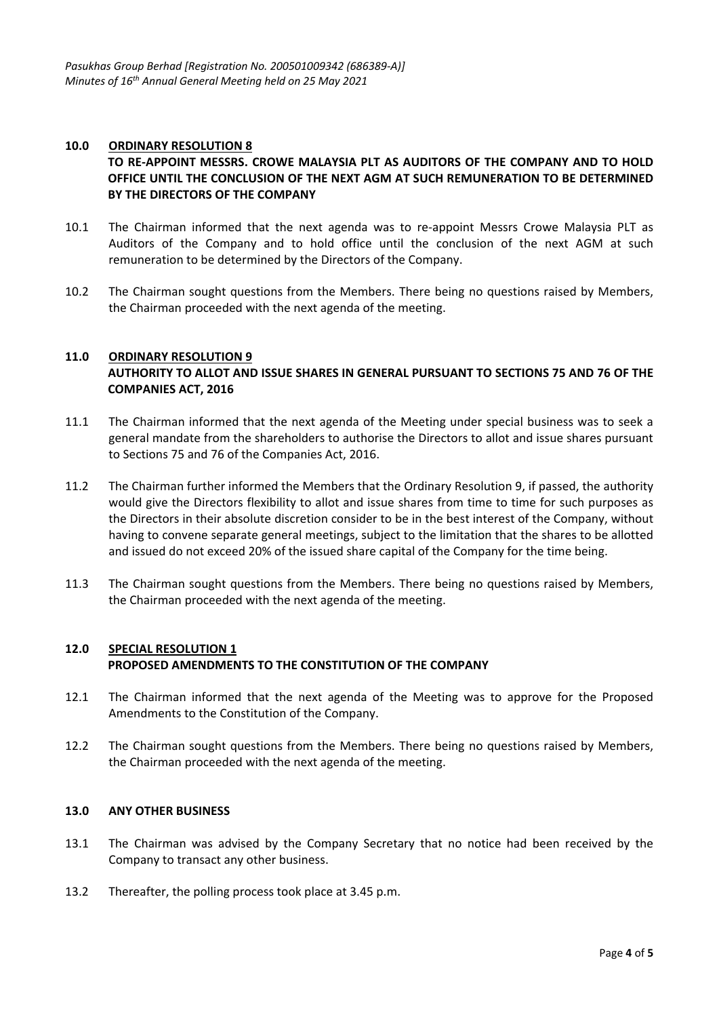### **10.0 ORDINARY RESOLUTION 8 TO RE‐APPOINT MESSRS. CROWE MALAYSIA PLT AS AUDITORS OF THE COMPANY AND TO HOLD OFFICE UNTIL THE CONCLUSION OF THE NEXT AGM AT SUCH REMUNERATION TO BE DETERMINED BY THE DIRECTORS OF THE COMPANY**

- 10.1 The Chairman informed that the next agenda was to re-appoint Messrs Crowe Malaysia PLT as Auditors of the Company and to hold office until the conclusion of the next AGM at such remuneration to be determined by the Directors of the Company.
- 10.2 The Chairman sought questions from the Members. There being no questions raised by Members, the Chairman proceeded with the next agenda of the meeting.

### **11.0 ORDINARY RESOLUTION 9 AUTHORITY TO ALLOT AND ISSUE SHARES IN GENERAL PURSUANT TO SECTIONS 75 AND 76 OF THE COMPANIES ACT, 2016**

- 11.1 The Chairman informed that the next agenda of the Meeting under special business was to seek a general mandate from the shareholders to authorise the Directors to allot and issue shares pursuant to Sections 75 and 76 of the Companies Act, 2016.
- 11.2 The Chairman further informed the Members that the Ordinary Resolution 9, if passed, the authority would give the Directors flexibility to allot and issue shares from time to time for such purposes as the Directors in their absolute discretion consider to be in the best interest of the Company, without having to convene separate general meetings, subject to the limitation that the shares to be allotted and issued do not exceed 20% of the issued share capital of the Company for the time being.
- 11.3 The Chairman sought questions from the Members. There being no questions raised by Members, the Chairman proceeded with the next agenda of the meeting.

### **12.0 SPECIAL RESOLUTION 1 PROPOSED AMENDMENTS TO THE CONSTITUTION OF THE COMPANY**

- 12.1 The Chairman informed that the next agenda of the Meeting was to approve for the Proposed Amendments to the Constitution of the Company.
- 12.2 The Chairman sought questions from the Members. There being no questions raised by Members, the Chairman proceeded with the next agenda of the meeting.

### **13.0 ANY OTHER BUSINESS**

- 13.1 The Chairman was advised by the Company Secretary that no notice had been received by the Company to transact any other business.
- 13.2 Thereafter, the polling process took place at 3.45 p.m.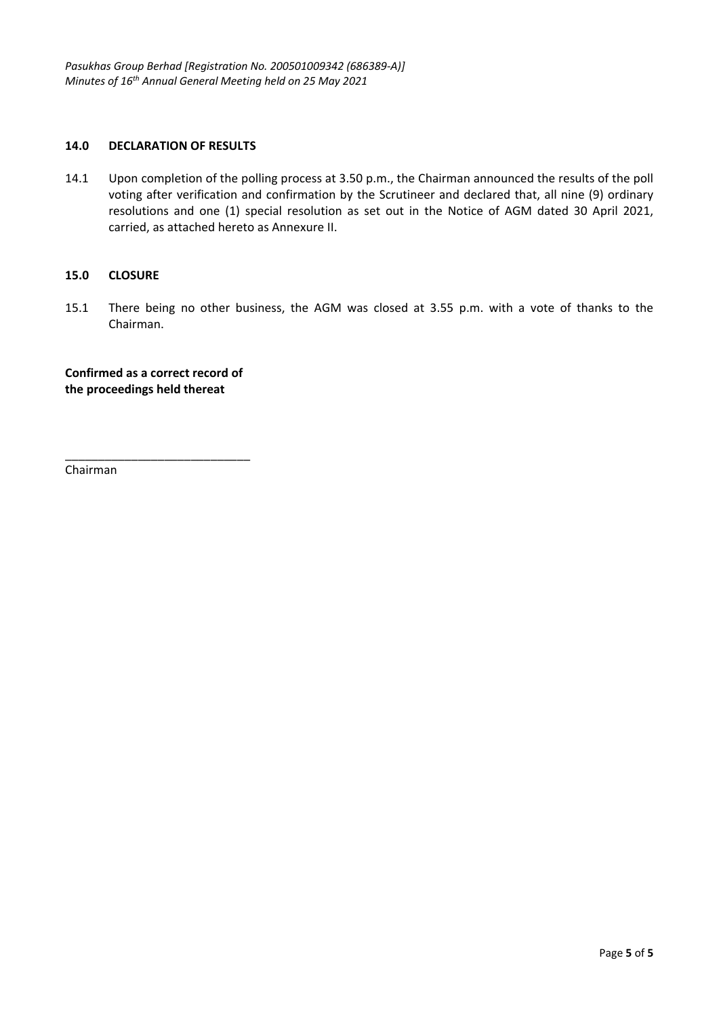### **14.0 DECLARATION OF RESULTS**

14.1 Upon completion of the polling process at 3.50 p.m., the Chairman announced the results of the poll voting after verification and confirmation by the Scrutineer and declared that, all nine (9) ordinary resolutions and one (1) special resolution as set out in the Notice of AGM dated 30 April 2021, carried, as attached hereto as Annexure II.

### **15.0 CLOSURE**

15.1 There being no other business, the AGM was closed at 3.55 p.m. with a vote of thanks to the Chairman.

**Confirmed as a correct record of the proceedings held thereat** 

\_\_\_\_\_\_\_\_\_\_\_\_\_\_\_\_\_\_\_\_\_\_\_\_\_\_\_\_

Chairman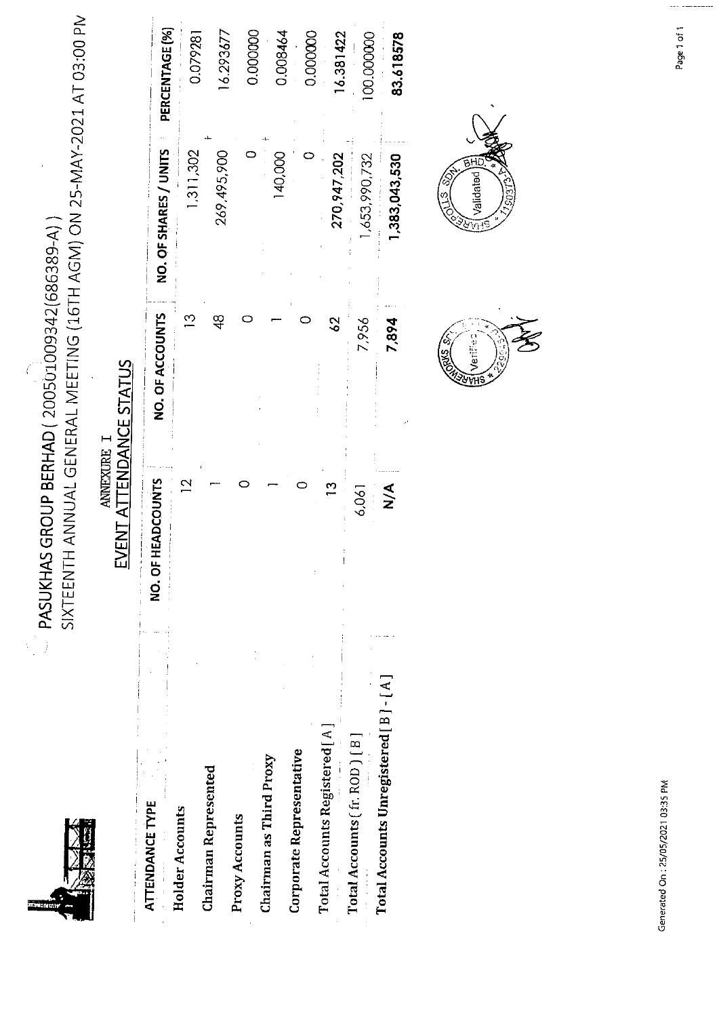PASUKHAS GROUP BERHAD ( $200501009342(686389-A)$ )

SIXTEENTH ANNUAL GENERAL MEETING (16TH AGM) ON 25-MAY-2021 AT 03:00 PN

### $\begin{array}{ll} & \textrm{AMEXURE} \ \texttt{I} \\ \textrm{EVENT ATTENDANCF STATIS} \end{array}$

|                                         |                                                                                                                              | り<br>こ<br>こ<br>2        |                              |                       |
|-----------------------------------------|------------------------------------------------------------------------------------------------------------------------------|-------------------------|------------------------------|-----------------------|
| ATTENDANCE TYPE                         | NO. OF HEADCOUNTS<br>$\frac{1}{2}$ and $\frac{1}{2}$ and $\frac{1}{2}$ and $\frac{1}{2}$ and $\frac{1}{2}$ and $\frac{1}{2}$ | NO. OF ACCOUNTS         | NO. OF SHARES / UNITS        | PERCENTAGE (%)        |
| <b>Holder Accounts</b>                  | $\overline{\mathbf{C}}$                                                                                                      | $\overline{\mathbb{C}}$ | 1,311,302                    | 0.079281              |
| Chairman Represented                    |                                                                                                                              | 48                      | 269,495,900                  | 16.293677             |
| Proxy Accounts                          |                                                                                                                              |                         |                              |                       |
| Chairman as Third Proxy                 |                                                                                                                              |                         |                              | 0.000000              |
| Corporate Representative                |                                                                                                                              |                         | 140,000                      | 0.008464              |
| Total Accounts Registered [A]           | C)                                                                                                                           |                         |                              | 0.000000              |
| Total Accounts (fr. ROD) [B]            | 6,061                                                                                                                        | 29<br>7,956             | 1,653,990,732<br>270,947,202 | 16.381422             |
| Total Accounts Unregistered [ B ] - [A] | <<br>≥∕Σ                                                                                                                     | 7,894                   | 1,383,043,530                | 00000000<br>83.618578 |



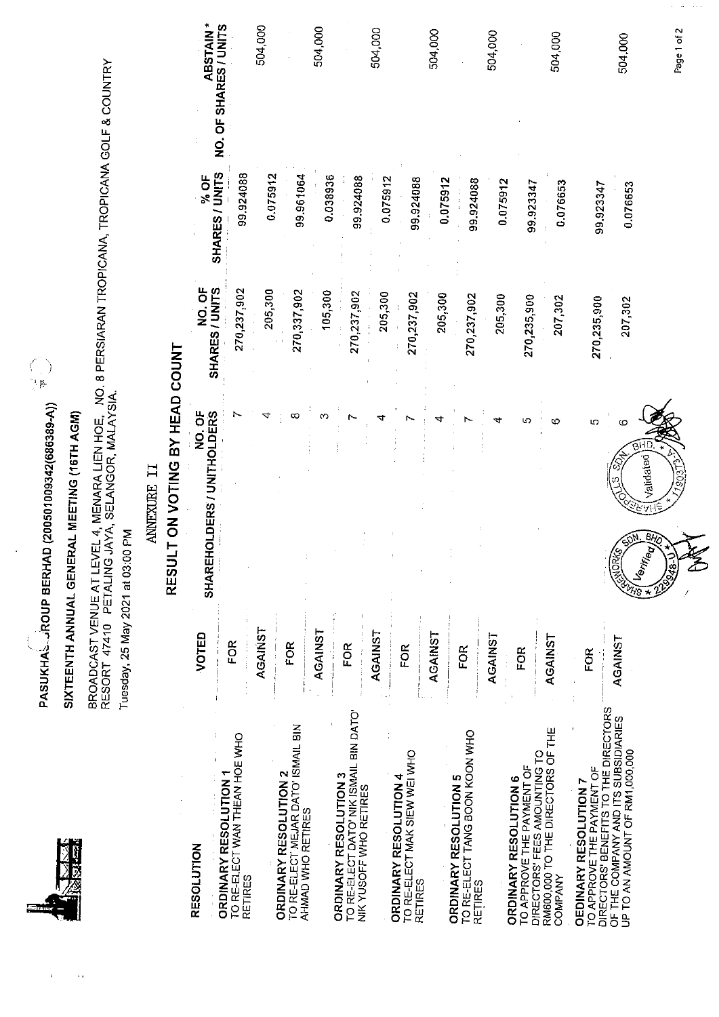$\ddot{\mathcal{A}}$ 

PASUKHA、AOUP BERHAD (200501009342(686389-A))

# SIXTEENTH ANNUAL GENERAL MEETING (16TH AGM)

BROADCAST VENUE AT LEVEL 4, MENARA LIEN HOE, NO. 8 PERSIARAN TROPICANA, TROPICANA GOLF & COUNTRY<br>RESORT 47410 PETALING JAYA, SELANGOR, MALAYSIA. Tuesday, 25 May 2021 at 03:00 PM

### ANNEXURE II

## RESULT ON VOTING BY HEAD COUNT

| RESOLUTION                                                            | VOTED          | b<br>20.<br>2<br><b>DERS</b><br>SHAREHOLDERS / UNITHOL | NO. OF<br>SHARES / UNITS | % OF<br>SHARES / UNITS | <b>ABSTAIN*</b>       |
|-----------------------------------------------------------------------|----------------|--------------------------------------------------------|--------------------------|------------------------|-----------------------|
| <b>ORDINARY RESOLUTION 1</b>                                          | FOR            |                                                        |                          |                        | NO. OF SHARES / UNITS |
| TO RE-ELECT WAN THEAN HOE WHO<br><b>RETIRES</b>                       |                |                                                        | 270,237,902              | 99.924088              |                       |
|                                                                       | AGAINST        |                                                        | 205,300                  | 0.075912               | 504,000               |
| <b>ORDINARY RESOLUTION 2</b>                                          | FOR            |                                                        |                          |                        |                       |
| TO RE-ELECT MEJAR DATO' ISMAIL BIN<br>AHMAD WHO RETIRES               |                |                                                        | 270,337,902              | 99.961064              |                       |
|                                                                       | <b>AGAINST</b> |                                                        | 105,300                  | 0.038936               | 504,000               |
| TO RE-ELECT DATO' NIK ISMAIL BIN DATO'<br>ORDINARY RESOLUTION 3       | FOR            |                                                        | 270,237,902              | 99.924088              |                       |
| NIK YUSOFF WHO RETIRES                                                | <b>AGAINST</b> |                                                        | 205,300                  |                        | 504,000               |
| <b>ORDINARY RESOLUTION 4</b>                                          |                |                                                        |                          | 0.075912               |                       |
| TO RE-ELECT MAK SIEW WEI WHO<br><b>RETIRES</b>                        | FOR            |                                                        | 270,237,902              | 99.924088              |                       |
|                                                                       | AGAINST        |                                                        | 205,300                  | 0.075912               | 504,000               |
| <b>ORDINARY RESOLUTION 5</b>                                          |                |                                                        |                          |                        |                       |
| TO RE-ELECT TANG BOON KOON WHO<br><b>RETIRES</b>                      | <b>FOR</b>     |                                                        | 270,237,902              | 99.924088              |                       |
|                                                                       | AGAINST        |                                                        | 205,300                  |                        | 504,000               |
| <b>ORDINARY RESOLUTION 6</b>                                          |                |                                                        |                          | 0.075912               |                       |
| DIRECTORS' FEES AMOUNTING TO<br>TO APPROVE THE PAYMENT OF             | FOR            |                                                        | 270,235,900              | 99.923347              |                       |
| RM600,000 TO THE DIRECTORS OF THE<br>COMPANY                          | AGAINST        |                                                        | 207,302                  | 0.076653               | 504,000               |
| TO APPROVE THE PAYMENT OF<br><b>OEDINARY RESOLUTION 7</b>             | <b>FOR</b>     | 5                                                      |                          |                        |                       |
| DIRECTORS' BENEFITS TO THE DIRECTORS                                  |                |                                                        | 270,235,900              | 99.923347              |                       |
| OF THE COMPANY AND ITS SUBSIDIARIES<br>UP TO AN AMOUNT OF RM1,000,000 | AGAINST        | c                                                      | 207,302                  | 0.076653               | 504,000               |
|                                                                       |                | Validated<br>Bī,<br>inec                               |                          |                        |                       |
|                                                                       |                | 9948.                                                  |                          |                        | Page 1 of 2           |
|                                                                       |                |                                                        |                          |                        |                       |